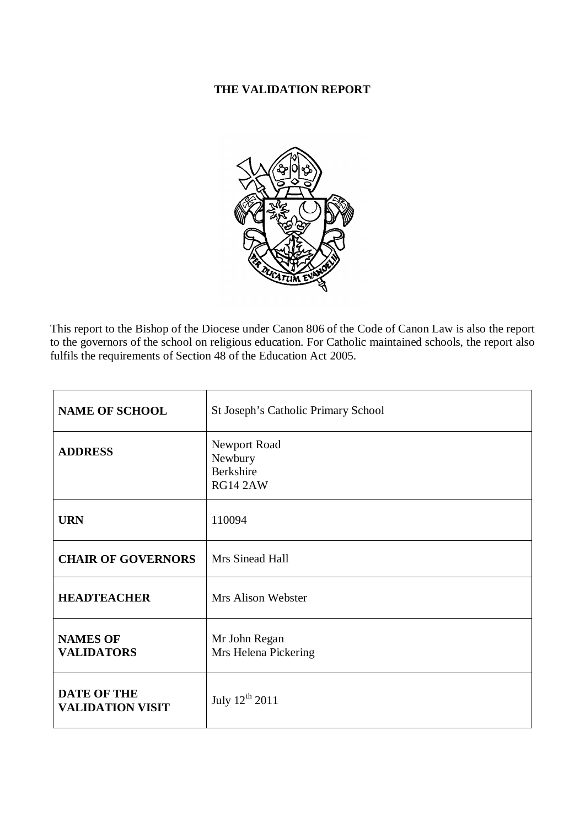# **THE VALIDATION REPORT**



This report to the Bishop of the Diocese under Canon 806 of the Code of Canon Law is also the report to the governors of the school on religious education. For Catholic maintained schools, the report also fulfils the requirements of Section 48 of the Education Act 2005.

| <b>NAME OF SCHOOL</b>                         | St Joseph's Catholic Primary School                            |
|-----------------------------------------------|----------------------------------------------------------------|
| <b>ADDRESS</b>                                | Newport Road<br>Newbury<br><b>Berkshire</b><br><b>RG14 2AW</b> |
| <b>URN</b>                                    | 110094                                                         |
| <b>CHAIR OF GOVERNORS</b>                     | Mrs Sinead Hall                                                |
| <b>HEADTEACHER</b>                            | Mrs Alison Webster                                             |
| <b>NAMES OF</b><br><b>VALIDATORS</b>          | Mr John Regan<br>Mrs Helena Pickering                          |
| <b>DATE OF THE</b><br><b>VALIDATION VISIT</b> | July $12^{th}$ 2011                                            |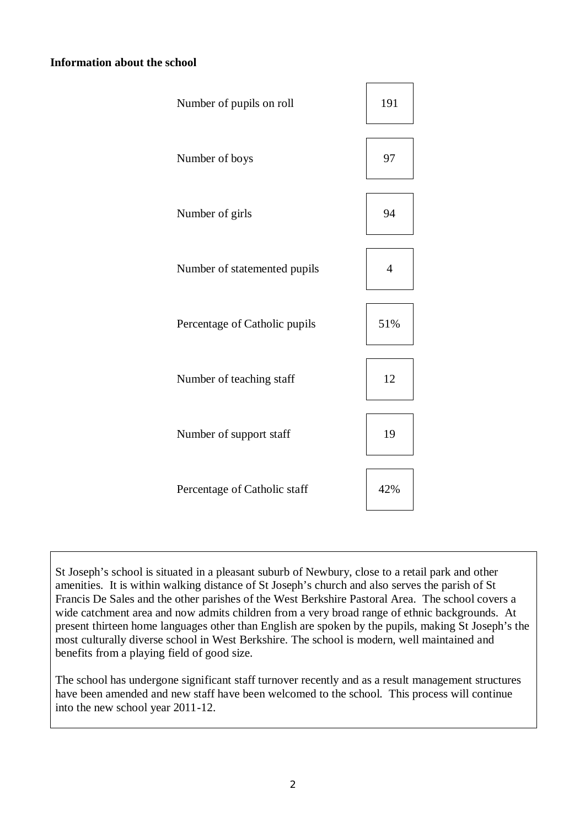# **Information about the school**

| Number of pupils on roll      | 191            |
|-------------------------------|----------------|
| Number of boys                | 97             |
| Number of girls               | 94             |
| Number of statemented pupils  | $\overline{4}$ |
| Percentage of Catholic pupils | 51%            |
| Number of teaching staff      | 12             |
| Number of support staff       | 19             |
| Percentage of Catholic staff  | 42%            |

St Joseph's school is situated in a pleasant suburb of Newbury, close to a retail park and other amenities. It is within walking distance of St Joseph's church and also serves the parish of St Francis De Sales and the other parishes of the West Berkshire Pastoral Area. The school covers a wide catchment area and now admits children from a very broad range of ethnic backgrounds. At present thirteen home languages other than English are spoken by the pupils, making St Joseph's the most culturally diverse school in West Berkshire. The school is modern, well maintained and benefits from a playing field of good size.

The school has undergone significant staff turnover recently and as a result management structures have been amended and new staff have been welcomed to the school. This process will continue into the new school year 2011-12.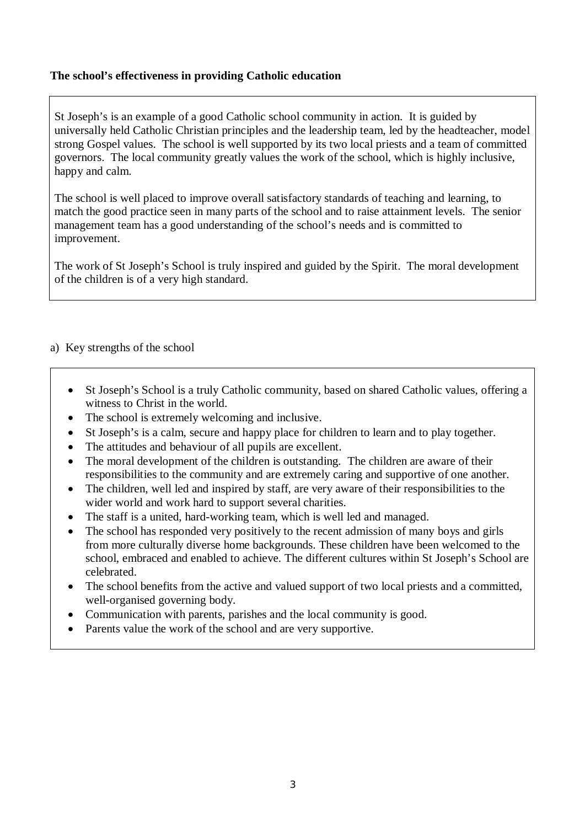# **The school's effectiveness in providing Catholic education**

St Joseph's is an example of a good Catholic school community in action. It is guided by universally held Catholic Christian principles and the leadership team, led by the headteacher, model strong Gospel values. The school is well supported by its two local priests and a team of committed governors. The local community greatly values the work of the school, which is highly inclusive, happy and calm.

The school is well placed to improve overall satisfactory standards of teaching and learning, to match the good practice seen in many parts of the school and to raise attainment levels. The senior management team has a good understanding of the school's needs and is committed to improvement.

The work of St Joseph's School is truly inspired and guided by the Spirit. The moral development of the children is of a very high standard.

## a) Key strengths of the school

- St Joseph's School is a truly Catholic community, based on shared Catholic values, offering a witness to Christ in the world.
- The school is extremely welcoming and inclusive.
- St Joseph's is a calm, secure and happy place for children to learn and to play together.
- The attitudes and behaviour of all pupils are excellent.
- The moral development of the children is outstanding. The children are aware of their responsibilities to the community and are extremely caring and supportive of one another.
- The children, well led and inspired by staff, are very aware of their responsibilities to the wider world and work hard to support several charities.
- The staff is a united, hard-working team, which is well led and managed.
- The school has responded very positively to the recent admission of many boys and girls from more culturally diverse home backgrounds. These children have been welcomed to the school, embraced and enabled to achieve. The different cultures within St Joseph's School are celebrated.
- The school benefits from the active and valued support of two local priests and a committed, well-organised governing body.
- Communication with parents, parishes and the local community is good.
- Parents value the work of the school and are very supportive.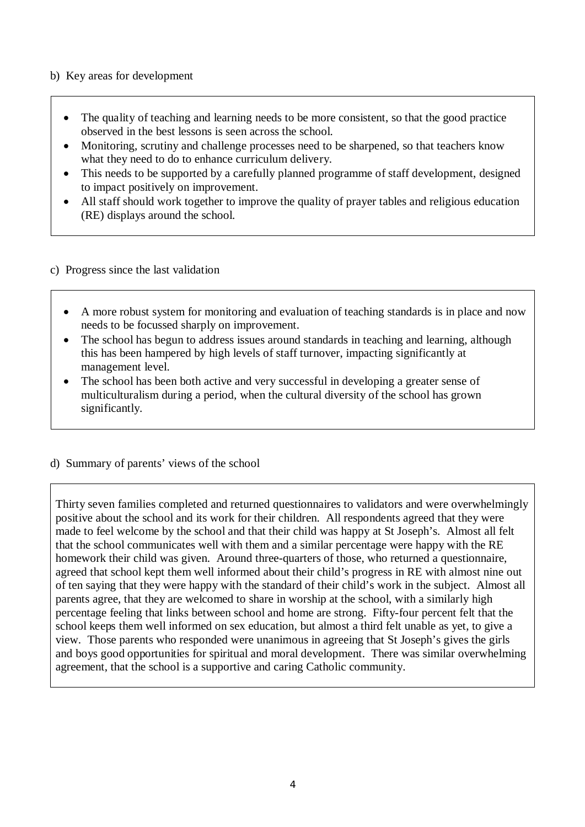# b) Key areas for development

- The quality of teaching and learning needs to be more consistent, so that the good practice observed in the best lessons is seen across the school.
- Monitoring, scrutiny and challenge processes need to be sharpened, so that teachers know what they need to do to enhance curriculum delivery.
- This needs to be supported by a carefully planned programme of staff development, designed to impact positively on improvement.
- All staff should work together to improve the quality of prayer tables and religious education (RE) displays around the school.

## c) Progress since the last validation

- A more robust system for monitoring and evaluation of teaching standards is in place and now needs to be focussed sharply on improvement.
- The school has begun to address issues around standards in teaching and learning, although this has been hampered by high levels of staff turnover, impacting significantly at management level.
- The school has been both active and very successful in developing a greater sense of multiculturalism during a period, when the cultural diversity of the school has grown significantly.

# d) Summary of parents' views of the school

Thirty seven families completed and returned questionnaires to validators and were overwhelmingly positive about the school and its work for their children. All respondents agreed that they were made to feel welcome by the school and that their child was happy at St Joseph's. Almost all felt that the school communicates well with them and a similar percentage were happy with the RE homework their child was given. Around three-quarters of those, who returned a questionnaire, agreed that school kept them well informed about their child's progress in RE with almost nine out of ten saying that they were happy with the standard of their child's work in the subject. Almost all parents agree, that they are welcomed to share in worship at the school, with a similarly high percentage feeling that links between school and home are strong. Fifty-four percent felt that the school keeps them well informed on sex education, but almost a third felt unable as yet, to give a view. Those parents who responded were unanimous in agreeing that St Joseph's gives the girls and boys good opportunities for spiritual and moral development. There was similar overwhelming agreement, that the school is a supportive and caring Catholic community.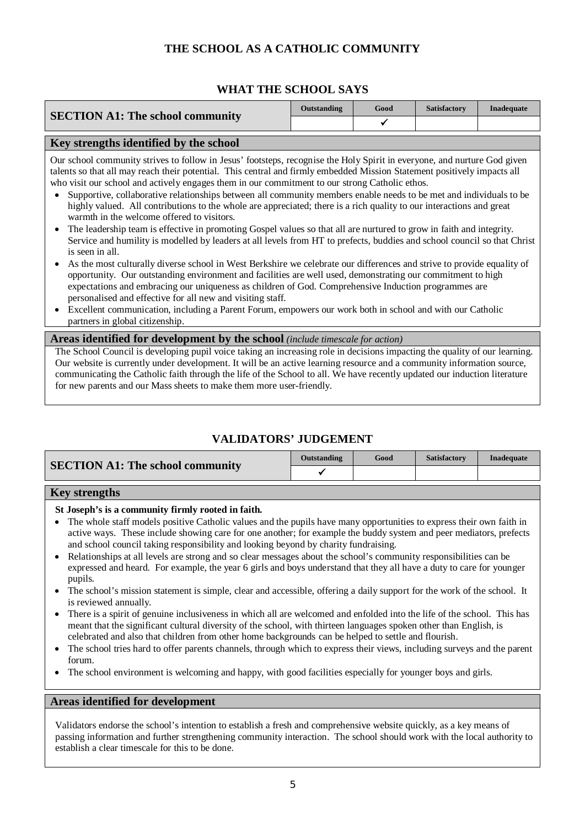# **THE SCHOOL AS A CATHOLIC COMMUNITY**

# **WHAT THE SCHOOL SAYS**

| <b>SECTION A1: The school community</b>                                                                                                                                                                                                                                                                                                                             | Outstanding | Good | <b>Satisfactory</b> | Inadequate |  |
|---------------------------------------------------------------------------------------------------------------------------------------------------------------------------------------------------------------------------------------------------------------------------------------------------------------------------------------------------------------------|-------------|------|---------------------|------------|--|
|                                                                                                                                                                                                                                                                                                                                                                     |             |      |                     |            |  |
| Key strengths identified by the school                                                                                                                                                                                                                                                                                                                              |             |      |                     |            |  |
| Our school community strives to follow in Jesus' footsteps, recognise the Holy Spirit in everyone, and nurture God given<br>$\mathcal{L}$ , and the state of the state of the state of the state $\mathcal{L}$ , and the state of the state of the state of the state of the state of the state of the state of the state of the state of the state of the state of |             |      |                     |            |  |

talents so that all may reach their potential. This central and firmly embedded Mission Statement positively impacts all who visit our school and actively engages them in our commitment to our strong Catholic ethos.

- Supportive, collaborative relationships between all community members enable needs to be met and individuals to be highly valued. All contributions to the whole are appreciated; there is a rich quality to our interactions and great warmth in the welcome offered to visitors.
- The leadership team is effective in promoting Gospel values so that all are nurtured to grow in faith and integrity. Service and humility is modelled by leaders at all levels from HT to prefects, buddies and school council so that Christ is seen in all.
- As the most culturally diverse school in West Berkshire we celebrate our differences and strive to provide equality of opportunity. Our outstanding environment and facilities are well used, demonstrating our commitment to high expectations and embracing our uniqueness as children of God. Comprehensive Induction programmes are personalised and effective for all new and visiting staff.
- Excellent communication, including a Parent Forum, empowers our work both in school and with our Catholic partners in global citizenship.

## **Areas identified for development by the school** *(include timescale for action)*

The School Council is developing pupil voice taking an increasing role in decisions impacting the quality of our learning. Our website is currently under development. It will be an active learning resource and a community information source, communicating the Catholic faith through the life of the School to all. We have recently updated our induction literature for new parents and our Mass sheets to make them more user-friendly.

# **VALIDATORS' JUDGEMENT**

|                                         | <b>Outstanding</b> | Good | <b>Satisfactory</b> | Inadequate |
|-----------------------------------------|--------------------|------|---------------------|------------|
| <b>SECTION A1: The school community</b> |                    |      |                     |            |

### **Key strengths**

### **St Joseph's is a community firmly rooted in faith.**

- The whole staff models positive Catholic values and the pupils have many opportunities to express their own faith in active ways. These include showing care for one another; for example the buddy system and peer mediators, prefects and school council taking responsibility and looking beyond by charity fundraising.
- Relationships at all levels are strong and so clear messages about the school's community responsibilities can be expressed and heard. For example, the year 6 girls and boys understand that they all have a duty to care for younger pupils.
- The school's mission statement is simple, clear and accessible, offering a daily support for the work of the school. It is reviewed annually.
- There is a spirit of genuine inclusiveness in which all are welcomed and enfolded into the life of the school. This has meant that the significant cultural diversity of the school, with thirteen languages spoken other than English, is celebrated and also that children from other home backgrounds can be helped to settle and flourish.
- The school tries hard to offer parents channels, through which to express their views, including surveys and the parent forum.
- The school environment is welcoming and happy, with good facilities especially for younger boys and girls.

### **Areas identified for development**

Validators endorse the school's intention to establish a fresh and comprehensive website quickly, as a key means of passing information and further strengthening community interaction. The school should work with the local authority to establish a clear timescale for this to be done.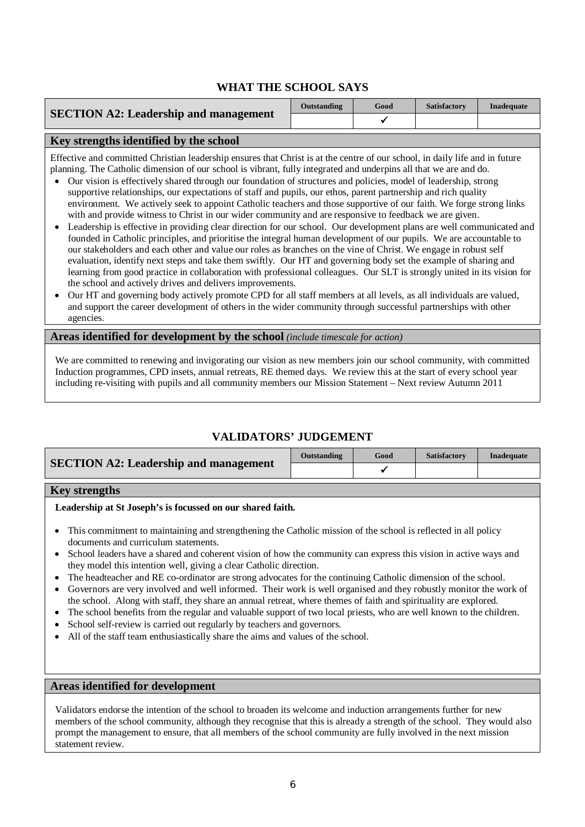|                                                                                                                                                                                                                                                                                                                                                                                                                                                                                                                                                                                                                                                                                                                                                                                                                                                                                                                                                                                                                                                                                                                                                                                                                                                                                                                                                                                                     | Outstanding | Good | <b>Satisfactory</b> | Inadequate |
|-----------------------------------------------------------------------------------------------------------------------------------------------------------------------------------------------------------------------------------------------------------------------------------------------------------------------------------------------------------------------------------------------------------------------------------------------------------------------------------------------------------------------------------------------------------------------------------------------------------------------------------------------------------------------------------------------------------------------------------------------------------------------------------------------------------------------------------------------------------------------------------------------------------------------------------------------------------------------------------------------------------------------------------------------------------------------------------------------------------------------------------------------------------------------------------------------------------------------------------------------------------------------------------------------------------------------------------------------------------------------------------------------------|-------------|------|---------------------|------------|
| <b>SECTION A2: Leadership and management</b>                                                                                                                                                                                                                                                                                                                                                                                                                                                                                                                                                                                                                                                                                                                                                                                                                                                                                                                                                                                                                                                                                                                                                                                                                                                                                                                                                        |             |      |                     |            |
| Key strengths identified by the school                                                                                                                                                                                                                                                                                                                                                                                                                                                                                                                                                                                                                                                                                                                                                                                                                                                                                                                                                                                                                                                                                                                                                                                                                                                                                                                                                              |             |      |                     |            |
| Effective and committed Christian leadership ensures that Christ is at the centre of our school, in daily life and in future<br>planning. The Catholic dimension of our school is vibrant, fully integrated and underpins all that we are and do.<br>Our vision is effectively shared through our foundation of structures and policies, model of leadership, strong<br>supportive relationships, our expectations of staff and pupils, our ethos, parent partnership and rich quality<br>environment. We actively seek to appoint Catholic teachers and those supportive of our faith. We forge strong links<br>with and provide witness to Christ in our wider community and are responsive to feedback we are given.<br>Leadership is effective in providing clear direction for our school. Our development plans are well communicated and<br>founded in Catholic principles, and prioritise the integral human development of our pupils. We are accountable to<br>our stakeholders and each other and value our roles as branches on the vine of Christ. We engage in robust self<br>evaluation, identify next steps and take them swiftly. Our HT and governing body set the example of sharing and<br>learning from good practice in collaboration with professional colleagues. Our SLT is strongly united in its vision for<br>the school and actively drives and delivers improvements. |             |      |                     |            |

• Our HT and governing body actively promote CPD for all staff members at all levels, as all individuals are valued, and support the career development of others in the wider community through successful partnerships with other agencies.

### **Areas identified for development by the school** *(include timescale for action)*

We are committed to renewing and invigorating our vision as new members join our school community, with committed Induction programmes, CPD insets, annual retreats, RE themed days. We review this at the start of every school year including re-visiting with pupils and all community members our Mission Statement – Next review Autumn 2011

# **VALIDATORS' JUDGEMENT**

|                                              | <b>Outstanding</b> | Good | <b>Satisfactory</b> | Inadequate |
|----------------------------------------------|--------------------|------|---------------------|------------|
| <b>SECTION A2: Leadership and management</b> |                    |      |                     |            |

### **Key strengths**

### **Leadership at St Joseph's is focussed on our shared faith.**

- This commitment to maintaining and strengthening the Catholic mission of the school is reflected in all policy documents and curriculum statements.
- School leaders have a shared and coherent vision of how the community can express this vision in active ways and they model this intention well, giving a clear Catholic direction.
- The headteacher and RE co-ordinator are strong advocates for the continuing Catholic dimension of the school.
- Governors are very involved and well informed. Their work is well organised and they robustly monitor the work of the school. Along with staff, they share an annual retreat, where themes of faith and spirituality are explored.
- The school benefits from the regular and valuable support of two local priests, who are well known to the children.
- School self-review is carried out regularly by teachers and governors.
- All of the staff team enthusiastically share the aims and values of the school.

### **Areas identified for development**

Validators endorse the intention of the school to broaden its welcome and induction arrangements further for new members of the school community, although they recognise that this is already a strength of the school. They would also prompt the management to ensure, that all members of the school community are fully involved in the next mission statement review.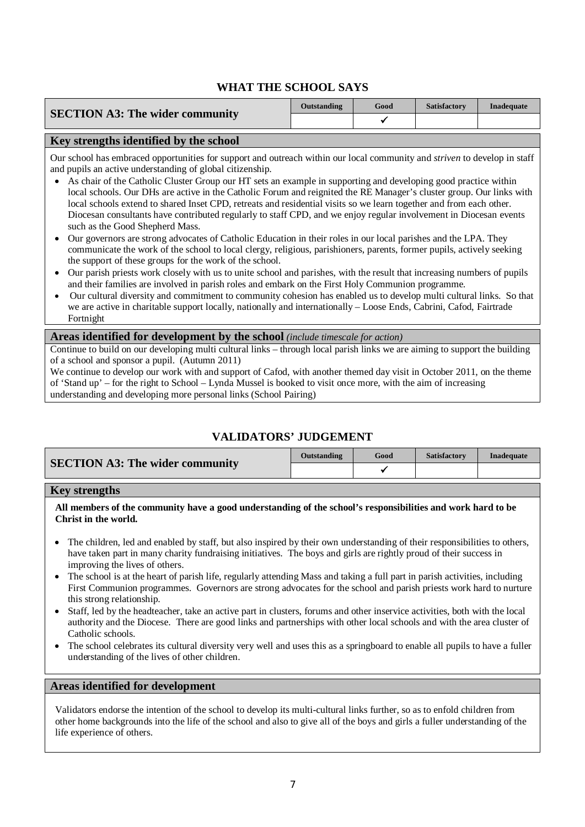|                                        | Outstanding | Good | <b>Satisfactory</b> | Inadequate |
|----------------------------------------|-------------|------|---------------------|------------|
| <b>SECTION A3: The wider community</b> |             |      |                     |            |

## **Key strengths identified by the school**

Our school has embraced opportunities for support and outreach within our local community and *striven* to develop in staff and pupils an active understanding of global citizenship.

- As chair of the Catholic Cluster Group our HT sets an example in supporting and developing good practice within local schools. Our DHs are active in the Catholic Forum and reignited the RE Manager's cluster group. Our links with local schools extend to shared Inset CPD, retreats and residential visits so we learn together and from each other. Diocesan consultants have contributed regularly to staff CPD, and we enjoy regular involvement in Diocesan events such as the Good Shepherd Mass.
- Our governors are strong advocates of Catholic Education in their roles in our local parishes and the LPA. They communicate the work of the school to local clergy, religious, parishioners, parents, former pupils, actively seeking the support of these groups for the work of the school.
- Our parish priests work closely with us to unite school and parishes, with the result that increasing numbers of pupils and their families are involved in parish roles and embark on the First Holy Communion programme.
- Our cultural diversity and commitment to community cohesion has enabled us to develop multi cultural links. So that we are active in charitable support locally, nationally and internationally – Loose Ends, Cabrini, Cafod, Fairtrade Fortnight

## **Areas identified for development by the school** *(include timescale for action)*

Continue to build on our developing multi cultural links – through local parish links we are aiming to support the building of a school and sponsor a pupil. (Autumn 2011)

We continue to develop our work with and support of Cafod, with another themed day visit in October 2011, on the theme of 'Stand up' – for the right to School – Lynda Mussel is booked to visit once more, with the aim of increasing understanding and developing more personal links (School Pairing)

# **VALIDATORS' JUDGEMENT**

|                                        | Outstanding | Good | Satisfactory | Inadequate |
|----------------------------------------|-------------|------|--------------|------------|
| <b>SECTION A3: The wider community</b> |             |      |              |            |

#### **Key strengths**

**All members of the community have a good understanding of the school's responsibilities and work hard to be Christ in the world.**

- The children, led and enabled by staff, but also inspired by their own understanding of their responsibilities to others, have taken part in many charity fundraising initiatives. The boys and girls are rightly proud of their success in improving the lives of others.
- The school is at the heart of parish life, regularly attending Mass and taking a full part in parish activities, including First Communion programmes. Governors are strong advocates for the school and parish priests work hard to nurture this strong relationship.
- Staff, led by the headteacher, take an active part in clusters, forums and other inservice activities, both with the local authority and the Diocese. There are good links and partnerships with other local schools and with the area cluster of Catholic schools.
- The school celebrates its cultural diversity very well and uses this as a springboard to enable all pupils to have a fuller understanding of the lives of other children.

### **Areas identified for development**

Validators endorse the intention of the school to develop its multi-cultural links further, so as to enfold children from other home backgrounds into the life of the school and also to give all of the boys and girls a fuller understanding of the life experience of others.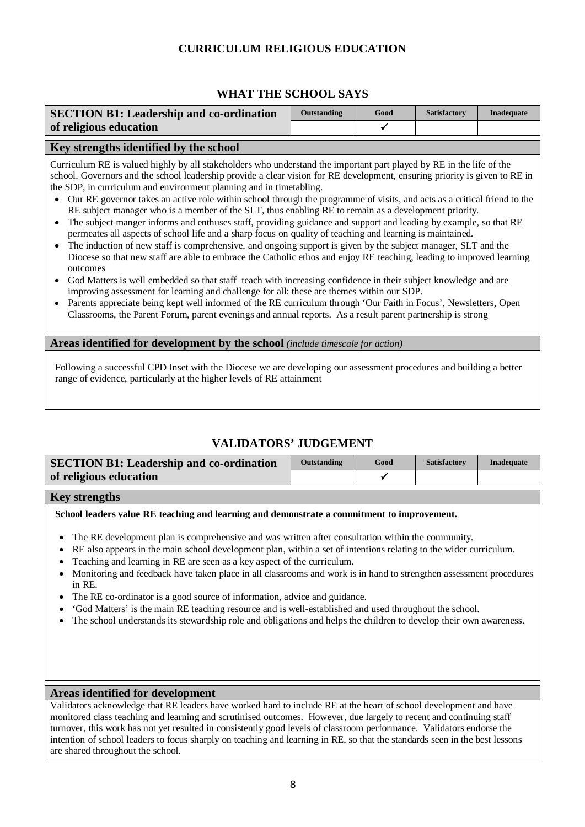# **CURRICULUM RELIGIOUS EDUCATION**

## **WHAT THE SCHOOL SAYS**

| <b>SECTION B1: Leadership and co-ordination</b> | <b>Outstanding</b> | Good | <b>Satisfactory</b> | <b>Inadequate</b> |
|-------------------------------------------------|--------------------|------|---------------------|-------------------|
| of religious education                          |                    |      |                     |                   |

## **Key strengths identified by the school**

Curriculum RE is valued highly by all stakeholders who understand the important part played by RE in the life of the school. Governors and the school leadership provide a clear vision for RE development, ensuring priority is given to RE in the SDP, in curriculum and environment planning and in timetabling.

- Our RE governor takes an active role within school through the programme of visits, and acts as a critical friend to the RE subject manager who is a member of the SLT, thus enabling RE to remain as a development priority.
- The subject manger informs and enthuses staff, providing guidance and support and leading by example, so that RE permeates all aspects of school life and a sharp focus on quality of teaching and learning is maintained.
- The induction of new staff is comprehensive, and ongoing support is given by the subject manager, SLT and the Diocese so that new staff are able to embrace the Catholic ethos and enjoy RE teaching, leading to improved learning outcomes
- God Matters is well embedded so that staff teach with increasing confidence in their subject knowledge and are improving assessment for learning and challenge for all: these are themes within our SDP.
- Parents appreciate being kept well informed of the RE curriculum through 'Our Faith in Focus', Newsletters, Open Classrooms, the Parent Forum, parent evenings and annual reports. As a result parent partnership is strong

## **Areas identified for development by the school** *(include timescale for action)*

Following a successful CPD Inset with the Diocese we are developing our assessment procedures and building a better range of evidence, particularly at the higher levels of RE attainment

# **VALIDATORS' JUDGEMENT**

| <b>SECTION B1: Leadership and co-ordination</b> | <b>Outstanding</b> | Good | <b>Satisfactory</b> | Inadequate |
|-------------------------------------------------|--------------------|------|---------------------|------------|
| of religious education                          |                    |      |                     |            |

### **Key strengths**

**School leaders value RE teaching and learning and demonstrate a commitment to improvement.**

- The RE development plan is comprehensive and was written after consultation within the community.
- RE also appears in the main school development plan, within a set of intentions relating to the wider curriculum.
- Teaching and learning in RE are seen as a key aspect of the curriculum.
- Monitoring and feedback have taken place in all classrooms and work is in hand to strengthen assessment procedures in RE.
- The RE co-ordinator is a good source of information, advice and guidance.
- 'God Matters' is the main RE teaching resource and is well-established and used throughout the school.
- The school understands its stewardship role and obligations and helps the children to develop their own awareness.

## **Areas identified for development**

Validators acknowledge that RE leaders have worked hard to include RE at the heart of school development and have monitored class teaching and learning and scrutinised outcomes. However, due largely to recent and continuing staff turnover, this work has not yet resulted in consistently good levels of classroom performance. Validators endorse the intention of school leaders to focus sharply on teaching and learning in RE, so that the standards seen in the best lessons are shared throughout the school.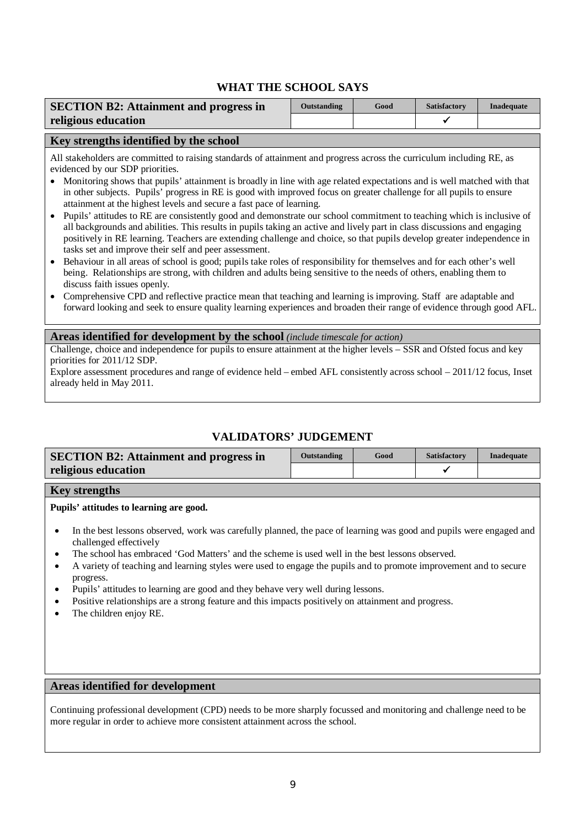| <b>SECTION B2: Attainment and progress in</b> | Outstanding | Good | <b>Satisfactory</b> | Inadequate |
|-----------------------------------------------|-------------|------|---------------------|------------|
| religious education                           |             |      |                     |            |

### **Key strengths identified by the school**

All stakeholders are committed to raising standards of attainment and progress across the curriculum including RE, as evidenced by our SDP priorities.

- Monitoring shows that pupils' attainment is broadly in line with age related expectations and is well matched with that in other subjects. Pupils' progress in RE is good with improved focus on greater challenge for all pupils to ensure attainment at the highest levels and secure a fast pace of learning.
- Pupils' attitudes to RE are consistently good and demonstrate our school commitment to teaching which is inclusive of all backgrounds and abilities. This results in pupils taking an active and lively part in class discussions and engaging positively in RE learning. Teachers are extending challenge and choice, so that pupils develop greater independence in tasks set and improve their self and peer assessment.
- Behaviour in all areas of school is good; pupils take roles of responsibility for themselves and for each other's well being. Relationships are strong, with children and adults being sensitive to the needs of others, enabling them to discuss faith issues openly.
- Comprehensive CPD and reflective practice mean that teaching and learning is improving. Staff are adaptable and forward looking and seek to ensure quality learning experiences and broaden their range of evidence through good AFL.

#### **Areas identified for development by the school** *(include timescale for action)*

Challenge, choice and independence for pupils to ensure attainment at the higher levels – SSR and Ofsted focus and key priorities for 2011/12 SDP.

Explore assessment procedures and range of evidence held – embed AFL consistently across school – 2011/12 focus, Inset already held in May 2011.

# **VALIDATORS' JUDGEMENT**

| <b>SECTION B2: Attainment and progress in</b> | Outstanding | Good | <b>Satisfactory</b> | Inadequate |
|-----------------------------------------------|-------------|------|---------------------|------------|
| religious education                           |             |      |                     |            |

### **Key strengths**

**Pupils' attitudes to learning are good.** 

- In the best lessons observed, work was carefully planned, the pace of learning was good and pupils were engaged and challenged effectively
- The school has embraced 'God Matters' and the scheme is used well in the best lessons observed.
- A variety of teaching and learning styles were used to engage the pupils and to promote improvement and to secure progress.
- Pupils' attitudes to learning are good and they behave very well during lessons.
- Positive relationships are a strong feature and this impacts positively on attainment and progress.
- The children enjoy RE.

### **Areas identified for development**

Continuing professional development (CPD) needs to be more sharply focussed and monitoring and challenge need to be more regular in order to achieve more consistent attainment across the school.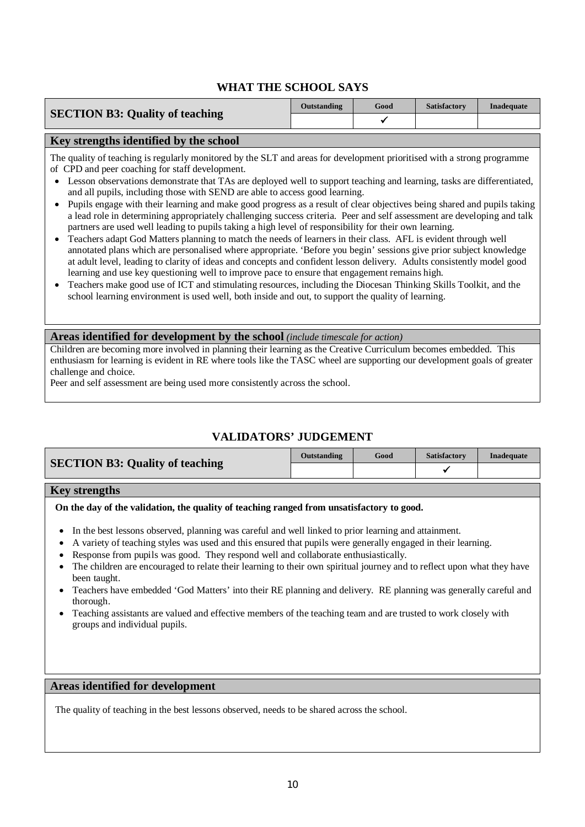| <b>SECTION B3: Quality of teaching</b> | Outstanding | Good | <b>Satisfactory</b> | Inadequate |
|----------------------------------------|-------------|------|---------------------|------------|
|                                        |             |      |                     |            |

#### **Key strengths identified by the school**

The quality of teaching is regularly monitored by the SLT and areas for development prioritised with a strong programme of CPD and peer coaching for staff development.

- Lesson observations demonstrate that TAs are deployed well to support teaching and learning, tasks are differentiated, and all pupils, including those with SEND are able to access good learning.
- Pupils engage with their learning and make good progress as a result of clear objectives being shared and pupils taking a lead role in determining appropriately challenging success criteria. Peer and self assessment are developing and talk partners are used well leading to pupils taking a high level of responsibility for their own learning.
- Teachers adapt God Matters planning to match the needs of learners in their class. AFL is evident through well annotated plans which are personalised where appropriate. 'Before you begin' sessions give prior subject knowledge at adult level, leading to clarity of ideas and concepts and confident lesson delivery. Adults consistently model good learning and use key questioning well to improve pace to ensure that engagement remains high.
- Teachers make good use of ICT and stimulating resources, including the Diocesan Thinking Skills Toolkit, and the school learning environment is used well, both inside and out, to support the quality of learning.

**Areas identified for development by the school** *(include timescale for action)*

Children are becoming more involved in planning their learning as the Creative Curriculum becomes embedded. This enthusiasm for learning is evident in RE where tools like the TASC wheel are supporting our development goals of greater challenge and choice.

Peer and self assessment are being used more consistently across the school.

# **VALIDATORS' JUDGEMENT**

| <b>SECTION B3: Quality of teaching</b> | Outstanding | Good | <b>Satisfactory</b> | Inadequate |
|----------------------------------------|-------------|------|---------------------|------------|
|                                        |             |      |                     |            |

## **Key strengths**

**On the day of the validation, the quality of teaching ranged from unsatisfactory to good.** 

- In the best lessons observed, planning was careful and well linked to prior learning and attainment.
- A variety of teaching styles was used and this ensured that pupils were generally engaged in their learning.
- Response from pupils was good. They respond well and collaborate enthusiastically.
- The children are encouraged to relate their learning to their own spiritual journey and to reflect upon what they have been taught.
- Teachers have embedded 'God Matters' into their RE planning and delivery. RE planning was generally careful and thorough.
- Teaching assistants are valued and effective members of the teaching team and are trusted to work closely with groups and individual pupils.

### **Areas identified for development**

The quality of teaching in the best lessons observed, needs to be shared across the school.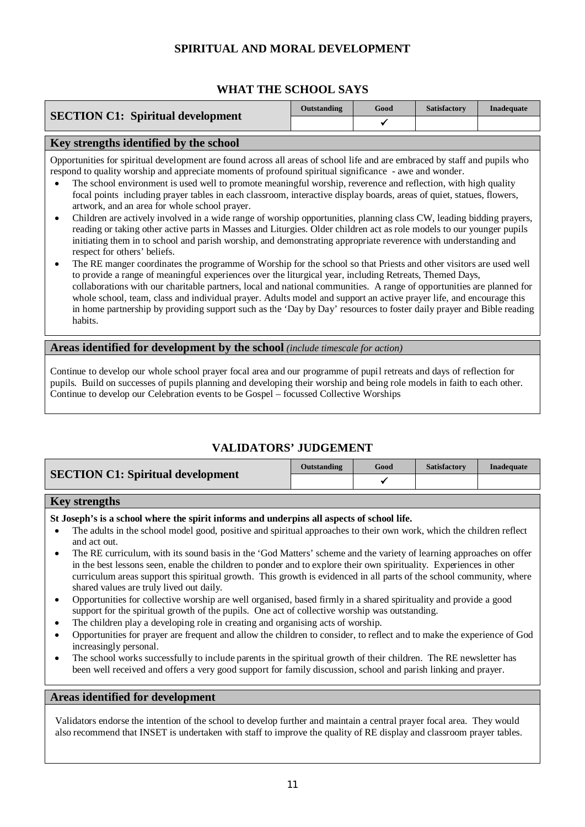# **SPIRITUAL AND MORAL DEVELOPMENT**

# **WHAT THE SCHOOL SAYS**

| <b>SECTION C1: Spiritual development</b> | <b>Outstanding</b> | Good | <b>Satisfactory</b> | Inadequate |
|------------------------------------------|--------------------|------|---------------------|------------|
|                                          |                    |      |                     |            |
|                                          |                    |      |                     |            |

## **Key strengths identified by the school**

Opportunities for spiritual development are found across all areas of school life and are embraced by staff and pupils who respond to quality worship and appreciate moments of profound spiritual significance - awe and wonder.

- The school environment is used well to promote meaningful worship, reverence and reflection, with high quality focal points including prayer tables in each classroom, interactive display boards, areas of quiet, statues, flowers, artwork, and an area for whole school prayer.
- Children are actively involved in a wide range of worship opportunities, planning class CW, leading bidding prayers, reading or taking other active parts in Masses and Liturgies. Older children act as role models to our younger pupils initiating them in to school and parish worship, and demonstrating appropriate reverence with understanding and respect for others' beliefs.
- The RE manger coordinates the programme of Worship for the school so that Priests and other visitors are used well to provide a range of meaningful experiences over the liturgical year, including Retreats, Themed Days, collaborations with our charitable partners, local and national communities. A range of opportunities are planned for whole school, team, class and individual prayer. Adults model and support an active prayer life, and encourage this in home partnership by providing support such as the 'Day by Day' resources to foster daily prayer and Bible reading habits.

## **Areas identified for development by the school** *(include timescale for action)*

Continue to develop our whole school prayer focal area and our programme of pupil retreats and days of reflection for pupils. Build on successes of pupils planning and developing their worship and being role models in faith to each other. Continue to develop our Celebration events to be Gospel – focussed Collective Worships

# **VALIDATORS' JUDGEMENT**

| <b>SECTION C1: Spiritual development</b> | Outstanding | Good | Satisfactory | Inadequate |
|------------------------------------------|-------------|------|--------------|------------|
|                                          |             |      |              |            |
|                                          |             |      |              |            |

## **Key strengths**

#### **St Joseph's is a school where the spirit informs and underpins all aspects of school life.**

- The adults in the school model good, positive and spiritual approaches to their own work, which the children reflect and act out.
- The RE curriculum, with its sound basis in the 'God Matters' scheme and the variety of learning approaches on offer in the best lessons seen, enable the children to ponder and to explore their own spirituality. Experiences in other curriculum areas support this spiritual growth. This growth is evidenced in all parts of the school community, where shared values are truly lived out daily.
- Opportunities for collective worship are well organised, based firmly in a shared spirituality and provide a good support for the spiritual growth of the pupils. One act of collective worship was outstanding.
- The children play a developing role in creating and organising acts of worship.
- Opportunities for prayer are frequent and allow the children to consider, to reflect and to make the experience of God increasingly personal.
- The school works successfully to include parents in the spiritual growth of their children. The RE newsletter has been well received and offers a very good support for family discussion, school and parish linking and prayer.

## **Areas identified for development**

Validators endorse the intention of the school to develop further and maintain a central prayer focal area. They would also recommend that INSET is undertaken with staff to improve the quality of RE display and classroom prayer tables.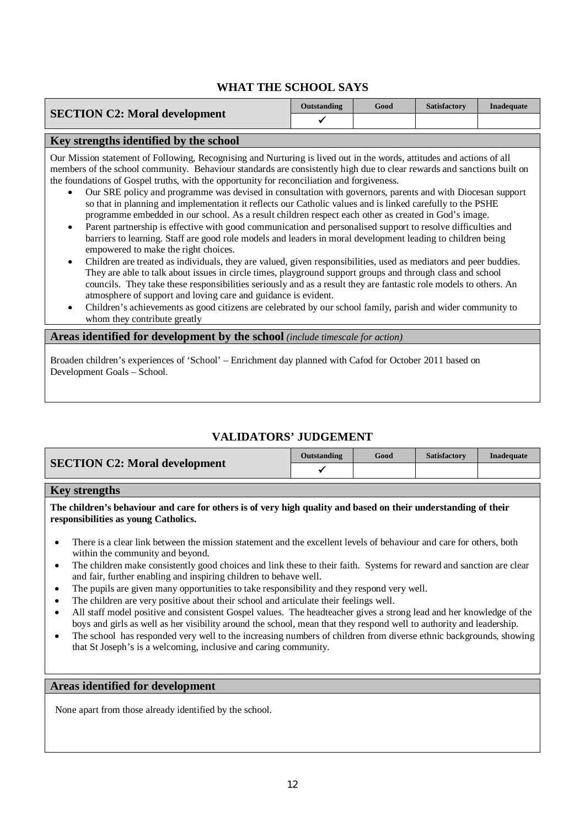| <b>SECTION C2: Moral development</b> | <b>Outstanding</b> | Good | <b>Satisfactory</b> | Inadequate |
|--------------------------------------|--------------------|------|---------------------|------------|
|                                      |                    |      |                     |            |

## **Key strengths identified by the school**

Our Mission statement of Following, Recognising and Nurturing is lived out in the words, attitudes and actions of all members of the school community. Behaviour standards are consistently high due to clear rewards and sanctions built on the foundations of Gospel truths, with the opportunity for reconciliation and forgiveness.

- Our SRE policy and programme was devised in consultation with governors, parents and with Diocesan support so that in planning and implementation it reflects our Catholic values and is linked carefully to the PSHE programme embedded in our school. As a result children respect each other as created in God's image.
- Parent partnership is effective with good communication and personalised support to resolve difficulties and barriers to learning. Staff are good role models and leaders in moral development leading to children being empowered to make the right choices.
- Children are treated as individuals, they are valued, given responsibilities, used as mediators and peer buddies. They are able to talk about issues in circle times, playground support groups and through class and school councils. They take these responsibilities seriously and as a result they are fantastic role models to others. An atmosphere of support and loving care and guidance is evident.
- Children's achievements as good citizens are celebrated by our school family, parish and wider community to whom they contribute greatly

### **Areas identified for development by the school** *(include timescale for action)*

Broaden children's experiences of 'School' – Enrichment day planned with Cafod for October 2011 based on Development Goals – School.

# **VALIDATORS' JUDGEMENT**

| <b>SECTION C2: Moral development</b> | Outstanding | Good | <b>Satisfactory</b> | Inadequate |
|--------------------------------------|-------------|------|---------------------|------------|
|                                      |             |      |                     |            |

### **Key strengths**

**The children's behaviour and care for others is of very high quality and based on their understanding of their responsibilities as young Catholics.**

- There is a clear link between the mission statement and the excellent levels of behaviour and care for others, both within the community and beyond.
- The children make consistently good choices and link these to their faith. Systems for reward and sanction are clear and fair, further enabling and inspiring children to behave well.
- The pupils are given many opportunities to take responsibility and they respond very well.
- The children are very positive about their school and articulate their feelings well.
- All staff model positive and consistent Gospel values. The headteacher gives a strong lead and her knowledge of the boys and girls as well as her visibility around the school, mean that they respond well to authority and leadership.
- The school has responded very well to the increasing numbers of children from diverse ethnic backgrounds, showing that St Joseph's is a welcoming, inclusive and caring community.

### **Areas identified for development**

None apart from those already identified by the school.